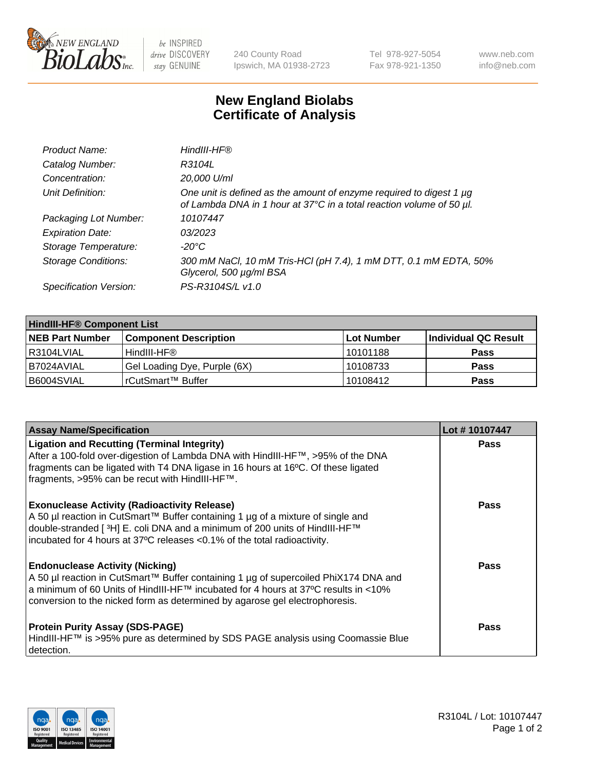

 $be$  INSPIRED drive DISCOVERY stay GENUINE

240 County Road Ipswich, MA 01938-2723 Tel 978-927-5054 Fax 978-921-1350 www.neb.com info@neb.com

## **New England Biolabs Certificate of Analysis**

| Product Name:              | HindIII-HF®                                                                                                                                 |
|----------------------------|---------------------------------------------------------------------------------------------------------------------------------------------|
| Catalog Number:            | R3104L                                                                                                                                      |
| Concentration:             | 20,000 U/ml                                                                                                                                 |
| Unit Definition:           | One unit is defined as the amount of enzyme required to digest 1 µg<br>of Lambda DNA in 1 hour at 37°C in a total reaction volume of 50 µl. |
| Packaging Lot Number:      | 10107447                                                                                                                                    |
| <b>Expiration Date:</b>    | 03/2023                                                                                                                                     |
| Storage Temperature:       | $-20^{\circ}$ C                                                                                                                             |
| <b>Storage Conditions:</b> | 300 mM NaCl, 10 mM Tris-HCl (pH 7.4), 1 mM DTT, 0.1 mM EDTA, 50%<br>Glycerol, 500 µg/ml BSA                                                 |
| Specification Version:     | PS-R3104S/L v1.0                                                                                                                            |

| <b>HindIII-HF® Component List</b> |                              |             |                      |  |  |
|-----------------------------------|------------------------------|-------------|----------------------|--|--|
| <b>NEB Part Number</b>            | <b>Component Description</b> | ∣Lot Number | Individual QC Result |  |  |
| I R3104LVIAL                      | HindIII-HF®                  | 10101188    | <b>Pass</b>          |  |  |
| I B7024AVIAL                      | Gel Loading Dye, Purple (6X) | 10108733    | <b>Pass</b>          |  |  |
| IB6004SVIAL                       | rCutSmart™ Buffer            | 10108412    | <b>Pass</b>          |  |  |

| <b>Assay Name/Specification</b>                                                                                                                                                                                                                                                                       | Lot #10107447 |
|-------------------------------------------------------------------------------------------------------------------------------------------------------------------------------------------------------------------------------------------------------------------------------------------------------|---------------|
| <b>Ligation and Recutting (Terminal Integrity)</b><br>After a 100-fold over-digestion of Lambda DNA with HindIII-HF™, >95% of the DNA<br>fragments can be ligated with T4 DNA ligase in 16 hours at 16°C. Of these ligated<br>fragments, >95% can be recut with HindIII-HF™.                          | <b>Pass</b>   |
| <b>Exonuclease Activity (Radioactivity Release)</b><br>A 50 µl reaction in CutSmart™ Buffer containing 1 µg of a mixture of single and<br>double-stranded [3H] E. coli DNA and a minimum of 200 units of HindIII-HF™<br>incubated for 4 hours at 37°C releases <0.1% of the total radioactivity.      | Pass          |
| <b>Endonuclease Activity (Nicking)</b><br>  A 50 µl reaction in CutSmart™ Buffer containing 1 µg of supercoiled PhiX174 DNA and<br> a minimum of 60 Units of HindIII-HF™ incubated for 4 hours at 37°C results in <10%<br>conversion to the nicked form as determined by agarose gel electrophoresis. | <b>Pass</b>   |
| <b>Protein Purity Assay (SDS-PAGE)</b><br>HindIII-HF™ is >95% pure as determined by SDS PAGE analysis using Coomassie Blue<br>I detection.                                                                                                                                                            | Pass          |